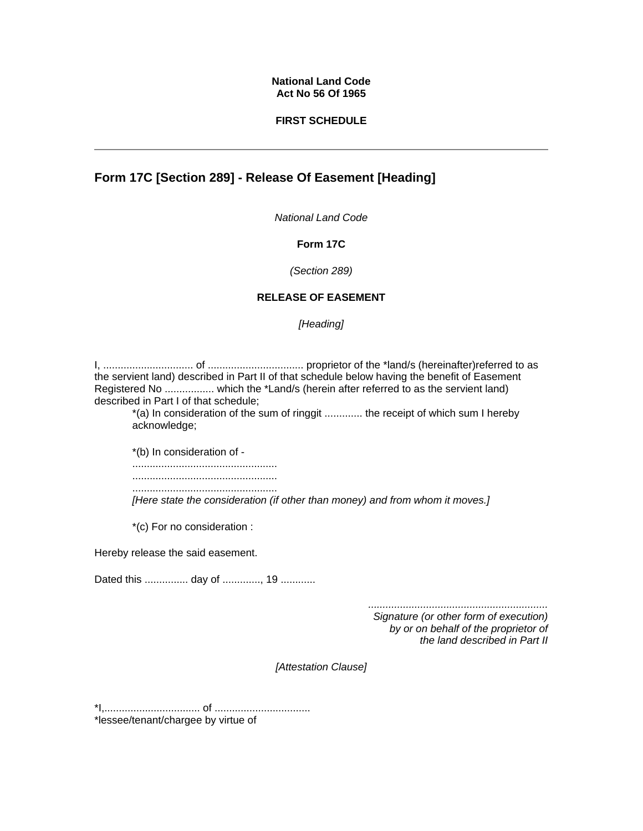### **National Land Code Act No 56 Of 1965**

### **FIRST SCHEDULE**

# **Form 17C [Section 289] - Release Of Easement [Heading]**

*National Land Code*

### **Form 17C**

*(Section 289)* 

# **RELEASE OF EASEMENT**

*[Heading]* 

I, ............................... of ................................. proprietor of the \*land/s (hereinafter)referred to as the servient land) described in Part II of that schedule below having the benefit of Easement Registered No ................. which the \*Land/s (herein after referred to as the servient land) described in Part I of that schedule; \*(a) In consideration of the sum of ringgit ............. the receipt of which sum I hereby acknowledge; \*(b) In consideration of - .................................................. .................................................. .................................................. *[Here state the consideration (if other than money) and from whom it moves.]* \*(c) For no consideration : Hereby release the said easement. Dated this ............... day of ............., 19 ............ *.............................................................. Signature (or other form of execution) by or on behalf of the proprietor of the land described in Part II [Attestation Clause]* 

\*I,................................. of ................................. \*lessee/tenant/chargee by virtue of